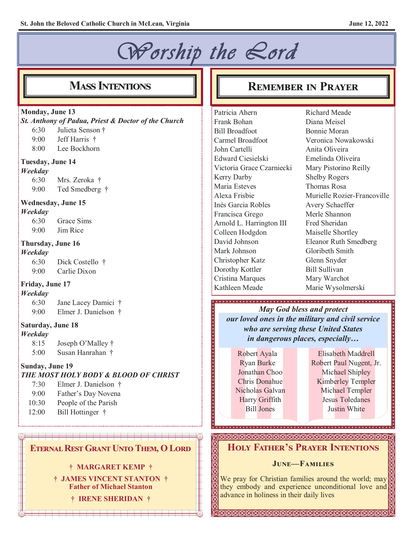# *Worship the Lord*

#### **Monday, June 13**

*St. Anthony of Padua, Priest & Doctor of the Church* 6:30 Julieta Senson † 9:00 Jeff Harris † 8:00 Lee Bockhorn **Tuesday, June 14** *Weekday* 6:30 Mrs. Zeroka † 9:00 Ted Smedberg † **Wednesday, June 15** *Weekday* 6:30 Grace Sims 9:00 Jim Rice **Thursday, June 16** *Weekday* 6:30 Dick Costello † 9:00 Carlie Dixon **Friday, June 17** *Weekday* 6:30 Jane Lacey Damici † 9:00 Elmer J. Danielson † **Saturday, June 18** *Weekday* 8:15 Joseph O'Malley † 5:00 Susan Hanrahan † **Sunday, June 19**

#### *THE MOST HOLY BODY & BLOOD OF CHRIST*

7:30 Elmer J. Danielson † 9:00 Father's Day Novena 10:30 People of the Parish 12:00 Bill Hottinger †

#### **Eternal Rest Grant Unto Them, O Lord**

#### **† MARGARET KEMP †**

**† JAMES VINCENT STANTON † Father of Michael Stanton**

**† IRENE SHERIDAN †**

## **MASS INTENTIONS REMEMBER IN PRAYER**

Patricia Ahern Frank Bohan Bill Broadfoot Carmel Broadfoot John Cartelli Edward Ciesielski Victoria Grace Czarniecki Kerry Darby Maria Esteves Alexa Frisbie Inés Garcia Robles Francisca Grego Arnold L. Harrington III Colleen Hodgdon David Johnson Mark Johnson Christopher Katz Dorothy Kottler Cristina Marques Kathleen Meade

Richard Meade Diana Meisel Bonnie Moran Veronica Nowakowski Anita Oliveira Emelinda Oliveira Mary Pistorino Reilly Shelby Rogers Thomas Rosa Murielle Rozier-Francoville Avery Schaeffer Merle Shannon Fred Sheridan Maiselle Shortley Eleanor Ruth Smedberg Gloribeth Smith Glenn Snyder Bill Sullivan Mary Warchot Marie Wysolmerski

#### *May God bless and protect our loved ones in the military and civil service who are serving these United States in dangerous places, especially…*

Robert Ayala Ryan Burke Jonathan Choo Chris Donahue Nicholas Galvan Harry Griffith Bill Jones

Elisabeth Maddrell Robert Paul Nugent, Jr. Michael Shipley Kimberley Templer Michael Templer Jesus Toledanes Justin White

#### **Holy Father's Prayer Intentions**

#### **June—Families**

We pray for Christian families around the world; may they embody and experience unconditional love and advance in holiness in their daily lives

**SSKREKEREKEREKEREKEREKEREKER**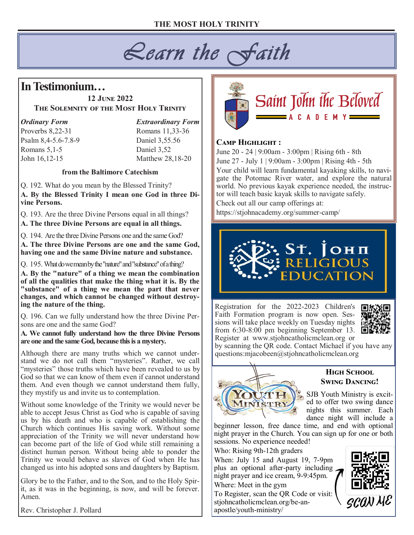# *Learn the Faith*

## **In Testimonium…**

#### **12 June 2022 The Solemnity of the Most Holy Trinity**

*Ordinary Form Extraordinary Form* Proverbs 8,22-31 Romans 11,33-36 Psalm 8,4-5.6-7.8-9 Daniel 3,55.56 Romans 5,1-5 Daniel 3,52 John 16,12-15 Matthew 28,18-20

#### **from the Baltimore Catechism**

Q. 192. What do you mean by the Blessed Trinity? **A. By the Blessed Trinity I mean one God in three Divine Persons.**

Q. 193. Are the three Divine Persons equal in all things?

**A. The three Divine Persons are equal in all things.**

Q. 194. Are the three Divine Persons one and the same God? **A. The three Divine Persons are one and the same God, having one and the same Divine nature and substance.**

Q. 195. What do we mean by the "nature" and "substance" of a thing?

**A. By the "nature" of a thing we mean the combination of all the qualities that make the thing what it is. By the "substance" of a thing we mean the part that never changes, and which cannot be changed without destroying the nature of the thing.**

Q. 196. Can we fully understand how the three Divine Persons are one and the same God?

**A. We cannot fully understand how the three Divine Persons are one and the same God, because this is a mystery.**

Although there are many truths which we cannot understand we do not call them "mysteries". Rather, we call "mysteries" those truths which have been revealed to us by God so that we can know of them even if cannot understand them. And even though we cannot understand them fully, they mystify us and invite us to contemplation.

Without some knowledge of the Trinity we would never be able to accept Jesus Christ as God who is capable of saving us by his death and who is capable of establishing the Church which continues His saving work. Without some appreciation of the Trinity we will never understand how can become part of the life of God while still remaining a distinct human person. Without being able to ponder the Trinity we would behave as slaves of God when He has changed us into his adopted sons and daughters by Baptism.

Glory be to the Father, and to the Son, and to the Holy Spirit, as it was in the beginning, is now, and will be forever. Amen.

Rev. Christopher J. Pollard



#### **Camp Highlight :**

June 20 - 24 | 9:00am - 3:00pm | Rising 6th - 8th June 27 - July 1 | 9:00am - 3:00pm | Rising 4th - 5th Your child will learn fundamental kayaking skills, to navigate the Potomac River water, and explore the natural world. No previous kayak experience needed, the instructor will teach basic kayak skills to navigate safely.

D E M Y

Check out all our camp offerings at:

https://stjohnacademy.org/summer-camp/

# ST. JOHN

Registration for the 2022-2023 Children's Faith Formation program is now open. Sessions will take place weekly on Tuesday nights **is** from 6:30-8:00 pm beginning September 13. Register at www.stjohncatholicmclean.org or



by scanning the QR code. Contact Michael if you have any questions:mjacobeen@stjohncatholicmclean.org



#### **High School Swing Dancing!**

SJB Youth Ministry is excited to offer two swing dance nights this summer. Each dance night will include a

beginner lesson, free dance time, and end with optional night prayer in the Church. You can sign up for one or both sessions. No experience needed!

Who: Rising 9th-12th graders

When: July 15 and August 19, 7-9pm plus an optional after-party including night prayer and ice cream, 9-9:45pm. Where: Meet in the gym

To Register, scan the QR Code or visit: stjohncatholicmclean.org/be-anapostle/youth-ministry/

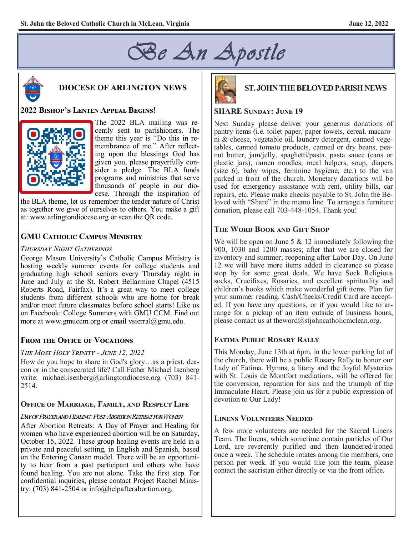



#### **DIOCESE OF ARLINGTON NEWS**

#### **2022 Bishop's Lenten Appeal Begins!**



The 2022 BLA mailing was recently sent to parishioners. The theme this year is "Do this in remembrance of me." After reflecting upon the blessings God has given you, please prayerfully consider a pledge. The BLA funds programs and ministries that serve thousands of people in our diocese. Through the inspiration of

the BLA theme, let us remember the tender nature of Christ as together we give of ourselves to others. You make a gift at: www.arlingtondiocese.org or scan the QR code.

#### **GMU Catholic Campus Ministry**

#### *Thursday Night Gatherings*

George Mason University's Catholic Campus Ministry is hosting weekly summer events for college students and graduating high school seniors every Thursday night in June and July at the St. Robert Bellarmine Chapel (4515 Roberts Road, Fairfax). It's a great way to meet college students from different schools who are home for break and/or meet future classmates before school starts! Like us on Facebook: College Summers with GMU CCM. Find out more at www.gmuccm.org or email vsierral@gmu.edu.

#### **From the Office of Vocations**

#### *The Most Holy Trinity - June 12, 2022*

How do you hope to share in God's glory…as a priest, deacon or in the consecrated life? Call Father Michael Isenberg write: michael.isenberg@arlingtondiocese.org (703) 841-2514.

#### **Office of Marriage, Family, and Respect Life**

#### *Day of Prayer and Healing: Post-Abortion Retreat for Women*

After Abortion Retreats: A Day of Prayer and Healing for women who have experienced abortion will be on Saturday, October 15, 2022. These group healing events are held in a private and peaceful setting, in English and Spanish, based on the Entering Canaan model. There will be an opportunity to hear from a past participant and others who have found healing. You are not alone. Take the first step. For confidential inquiries, please contact Project Rachel Ministry: (703) 841-2504 or info@helpafterabortion.org.



#### **ST. JOHN THE BELOVED PARISH NEWS**

#### **SHARE Sunday: June 19**

Next Sunday please deliver your generous donations of pantry items (i.e. toilet paper, paper towels, cereal, macaroni & cheese, vegetable oil, laundry detergent, canned vegetables, canned tomato products, canned or dry beans, peanut butter, jam/jelly, spaghetti/pasta, pasta sauce (cans or plastic jars), ramen noodles, meal helpers, soup, diapers (size 6), baby wipes, feminine hygiene, etc.) to the van parked in front of the church. Monetary donations will be used for emergency assistance with rent, utility bills, car repairs, etc. Please make checks payable to St. John the Beloved with "Share" in the memo line. To arrange a furniture donation, please call 703-448-1054. Thank you!

#### **The Word Book and Gift Shop**

We will be open on June 5  $& 12$  immediately following the 900, 1030 and 1200 masses; after that we are closed for inventory and summer; reopening after Labor Day. On June 12 we will have more items added in clearance so please stop by for some great deals. We have Sock Religious socks, Crucifixes, Rosaries, and excellent spirituality and children's books which make wonderful gift items. Plan for your summer reading. Cash/Checks/Credit Card are accepted. If you have any questions, or if you would like to arrange for a pickup of an item outside of business hours, please contact us at theword $@$ stjohncatholicmclean.org.

#### **Fatima Public Rosary Rally**

This Monday, June 13th at 6pm, in the lower parking lot of the church, there will be a public Rosary Rally to honor our Lady of Fatima. Hymns, a litany and the Joyful Mysteries with St. Louis de Montfort mediations, will be offered for the conversion, reparation for sins and the triumph of the Immaculate Heart. Please join us for a public expression of devotion to Our Lady!

#### **Linens Volunteers Needed**

A few more volunteers are needed for the Sacred Linens Team. The linens, which sometime contain particles of Our Lord, are reverently purified and then laundered/ironed once a week. The schedule rotates among the members, one person per week. If you would like join the team, please contact the sacristan either directly or via the front office.